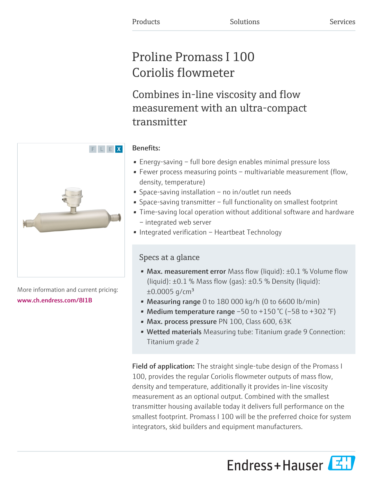# Proline Promass I 100 Coriolis flowmeter

Combines in-line viscosity and flow measurement with an ultra-compact transmitter

# Benefits:

- Energy-saving full bore design enables minimal pressure loss
- Fewer process measuring points multivariable measurement (flow, density, temperature)
- Space-saving installation no in/outlet run needs
- Space-saving transmitter full functionality on smallest footprint
- Time-saving local operation without additional software and hardware – integrated web server
- Integrated verification Heartbeat Technology

# Specs at a glance

- Max. measurement error Mass flow (liquid):  $\pm 0.1$  % Volume flow (liquid):  $\pm 0.1$  % Mass flow (gas):  $\pm 0.5$  % Density (liquid):  $\pm 0.0005$  g/cm<sup>3</sup>
- Measuring range 0 to 180 000 kg/h (0 to 6600 lb/min)
- Medium temperature range  $-50$  to  $+150$  °C ( $-58$  to  $+302$  °F)
- Max. process pressure PN 100, Class 600, 63K
- Wetted materials Measuring tube: Titanium grade 9 Connection: Titanium grade 2

**Field of application:** The straight single-tube design of the Promass I 100, provides the regular Coriolis flowmeter outputs of mass flow, density and temperature, additionally it provides in-line viscosity measurement as an optional output. Combined with the smallest transmitter housing available today it delivers full performance on the smallest footprint. Promass I 100 will be the preferred choice for system integrators, skid builders and equipment manufacturers.

Endress+Hauser



More information and current pricing: [www.ch.endress.com/8I1B](https://www.ch.endress.com/8I1B)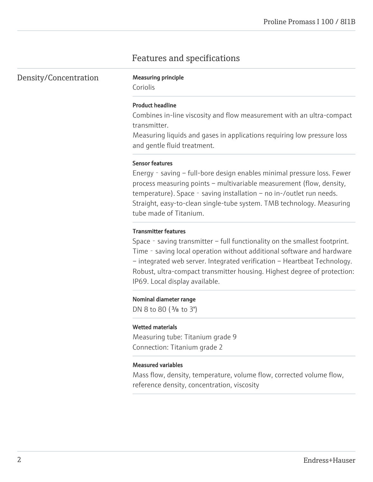# Features and specifications

Density/Concentration Measuring principle

Coriolis

#### Product headline

Combines in-line viscosity and flow measurement with an ultra-compact transmitter.

Measuring liquids and gases in applications requiring low pressure loss and gentle fluid treatment.

#### Sensor features

Energy - saving – full-bore design enables minimal pressure loss. Fewer process measuring points – multivariable measurement (flow, density, temperature). Space - saving installation – no in-/outlet run needs. Straight, easy-to-clean single-tube system. TMB technology. Measuring tube made of Titanium.

#### Transmitter features

Space - saving transmitter – full functionality on the smallest footprint. Time - saving local operation without additional software and hardware – integrated web server. Integrated verification – Heartbeat Technology. Robust, ultra-compact transmitter housing. Highest degree of protection: IP69. Local display available.

#### Nominal diameter range

DN 8 to 80 (<sup>3</sup>/<sub>8</sub> to 3")

#### Wetted materials

Measuring tube: Titanium grade 9 Connection: Titanium grade 2

#### Measured variables

Mass flow, density, temperature, volume flow, corrected volume flow, reference density, concentration, viscosity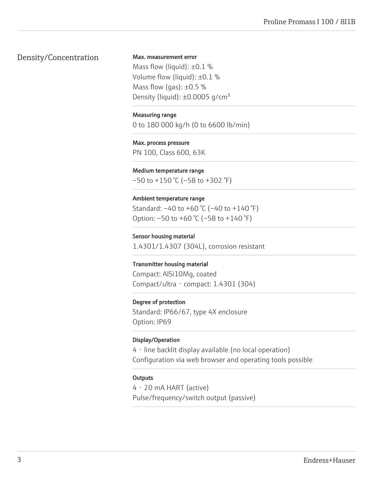# Density/Concentration

Max. measurement error

Mass flow (liquid):  $\pm 0.1$  % Volume flow (liquid): ±0.1 % Mass flow (gas):  $\pm 0.5$  % Density (liquid):  $\pm 0.0005$  q/cm<sup>3</sup>

#### Measuring range

0 to 180 000 kg/h (0 to 6600 lb/min)

#### Max. process pressure

PN 100, Class 600, 63K

#### Medium temperature range

 $-50$  to  $+150$  °C ( $-58$  to  $+302$  °F)

### Ambient temperature range

Standard: –40 to +60 °C (–40 to +140 °F) Option: –50 to +60 °C (–58 to +140 °F)

# Sensor housing material 1.4301/1.4307 (304L), corrosion resistant

#### Transmitter housing material

Compact: AlSi10Mg, coated Compact/ultra‐compact: 1.4301 (304)

### Degree of protection

Standard: IP66/67, type 4X enclosure Option: IP69

# Display/Operation

4‐line backlit display available (no local operation) Configuration via web browser and operating tools possible

### **Outputs**

4‐20 mA HART (active) Pulse/frequency/switch output (passive)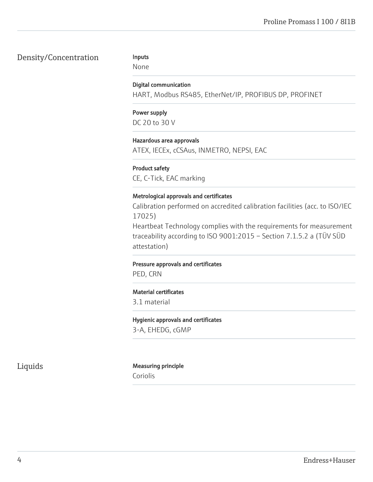# Density/Concentration

#### Inputs

None

#### Digital communication

HART, Modbus RS485, EtherNet/IP, PROFIBUS DP, PROFINET

# Power supply DC 20 to 30 V

### Hazardous area approvals

ATEX, IECEx, cCSAus, INMETRO, NEPSI, EAC

#### Product safety

CE, C-Tick, EAC marking

#### Metrological approvals and certificates

Calibration performed on accredited calibration facilities (acc. to ISO/IEC 17025)

Heartbeat Technology complies with the requirements for measurement traceability according to ISO 9001:2015 – Section 7.1.5.2 a (TÜV SÜD attestation)

#### Pressure approvals and certificates

PED, CRN

#### Material certificates

3.1 material

### Hygienic approvals and certificates

3-A, EHEDG, cGMP

# Liquids Measuring principle

Coriolis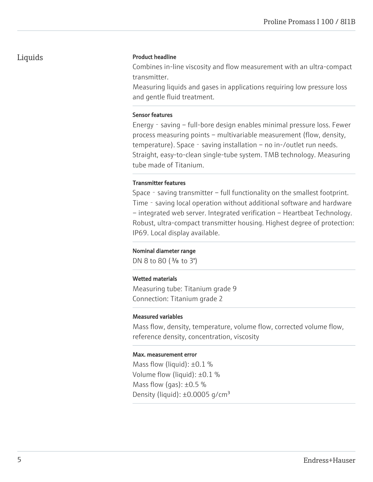# Liquids

#### Product headline

Combines in-line viscosity and flow measurement with an ultra-compact transmitter.

Measuring liquids and gases in applications requiring low pressure loss and gentle fluid treatment.

#### Sensor features

Energy - saving – full-bore design enables minimal pressure loss. Fewer process measuring points – multivariable measurement (flow, density, temperature). Space - saving installation – no in-/outlet run needs. Straight, easy-to-clean single-tube system. TMB technology. Measuring tube made of Titanium.

#### Transmitter features

Space - saving transmitter – full functionality on the smallest footprint. Time – saving local operation without additional software and hardware – integrated web server. Integrated verification – Heartbeat Technology. Robust, ultra-compact transmitter housing. Highest degree of protection: IP69. Local display available.

#### Nominal diameter range

DN 8 to 80 (<sup>3</sup>/<sub>8</sub> to 3")

#### Wetted materials

Measuring tube: Titanium grade 9 Connection: Titanium grade 2

#### Measured variables

Mass flow, density, temperature, volume flow, corrected volume flow, reference density, concentration, viscosity

#### Max. measurement error

Mass flow (liquid):  $\pm 0.1$  % Volume flow (liquid): ±0.1 % Mass flow (gas):  $\pm 0.5$  % Density (liquid):  $\pm 0.0005$  g/cm<sup>3</sup>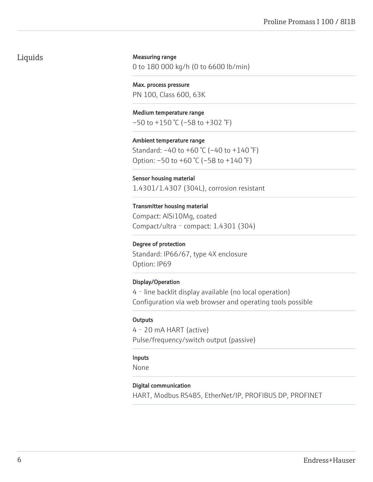# Liquids

#### Measuring range

0 to 180 000 kg/h (0 to 6600 lb/min)

Max. process pressure PN 100, Class 600, 63K

Medium temperature range  $-50$  to  $+150$  °C ( $-58$  to  $+302$  °F)

Ambient temperature range Standard: –40 to +60 °C (–40 to +140 °F) Option: –50 to +60 °C (–58 to +140 °F)

Sensor housing material 1.4301/1.4307 (304L), corrosion resistant

Transmitter housing material Compact: AlSi10Mg, coated Compact/ultra‐compact: 1.4301 (304)

#### Degree of protection

Standard: IP66/67, type 4X enclosure Option: IP69

#### Display/Operation

4‐line backlit display available (no local operation) Configuration via web browser and operating tools possible

#### **Outputs**

4‐20 mA HART (active) Pulse/frequency/switch output (passive)

#### Inputs

None

#### Digital communication

HART, Modbus RS485, EtherNet/IP, PROFIBUS DP, PROFINET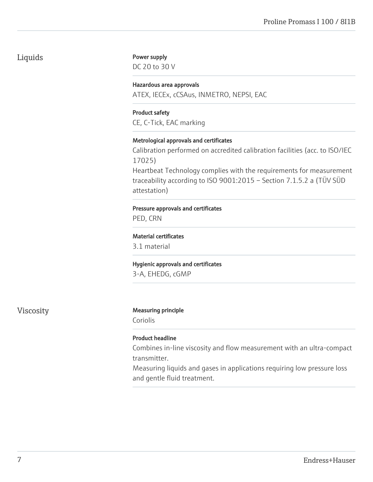# Liquids

#### Power supply

DC 20 to 30 V

# Hazardous area approvals

ATEX, IECEx, cCSAus, INMETRO, NEPSI, EAC

#### Product safety

CE, C-Tick, EAC marking

#### Metrological approvals and certificates

Calibration performed on accredited calibration facilities (acc. to ISO/IEC 17025)

Heartbeat Technology complies with the requirements for measurement traceability according to ISO 9001:2015 – Section 7.1.5.2 a (TÜV SÜD attestation)

#### Pressure approvals and certificates

PED, CRN

#### Material certificates

3.1 material

#### Hygienic approvals and certificates

3-A, EHEDG, cGMP

# Viscosity Measuring principle

Coriolis

### Product headline

Combines in-line viscosity and flow measurement with an ultra-compact transmitter.

Measuring liquids and gases in applications requiring low pressure loss and gentle fluid treatment.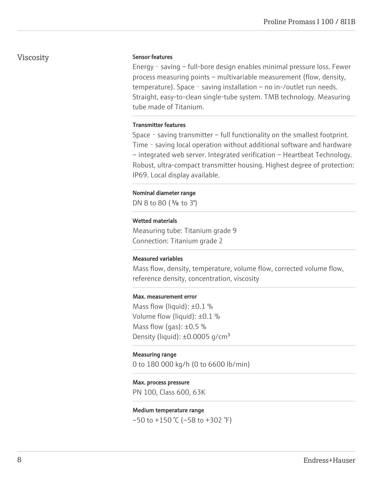# Viscosity

#### Sensor features

Energy‐saving – full-bore design enables minimal pressure loss. Fewer process measuring points – multivariable measurement (flow, density, temperature). Space - saving installation – no in-/outlet run needs. Straight, easy-to-clean single-tube system. TMB technology. Measuring tube made of Titanium.

#### Transmitter features

Space - saving transmitter – full functionality on the smallest footprint. Time - saving local operation without additional software and hardware – integrated web server. Integrated verification – Heartbeat Technology. Robust, ultra-compact transmitter housing. Highest degree of protection: IP69. Local display available.

#### Nominal diameter range

DN 8 to 80  $(3/s)$  to 3")

#### Wetted materials

Measuring tube: Titanium grade 9 Connection: Titanium grade 2

#### Measured variables

Mass flow, density, temperature, volume flow, corrected volume flow, reference density, concentration, viscosity

#### Max. measurement error

Mass flow (liquid):  $\pm 0.1$  % Volume flow (liquid): ±0.1 % Mass flow (gas):  $\pm 0.5$  % Density (liquid):  $\pm 0.0005$  g/cm<sup>3</sup>

#### Measuring range

0 to 180 000 kg/h (0 to 6600 lb/min)

#### Max. process pressure

PN 100, Class 600, 63K

#### Medium temperature range

 $-50$  to  $+150$  °C ( $-58$  to  $+302$  °F)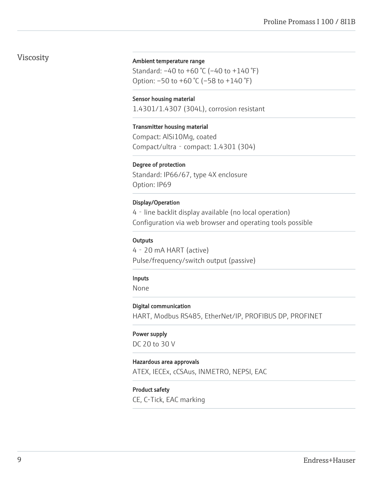# Viscosity

#### Ambient temperature range

Standard: –40 to +60 °C (–40 to +140 °F) Option: –50 to +60 °C (–58 to +140 °F)

#### Sensor housing material

1.4301/1.4307 (304L), corrosion resistant

# Transmitter housing material

Compact: AlSi10Mg, coated Compact/ultra‐compact: 1.4301 (304)

#### Degree of protection

Standard: IP66/67, type 4X enclosure Option: IP69

#### Display/Operation

4‐line backlit display available (no local operation) Configuration via web browser and operating tools possible

#### **Outputs**

4‐20 mA HART (active) Pulse/frequency/switch output (passive)

#### Inputs

None

#### Digital communication

HART, Modbus RS485, EtherNet/IP, PROFIBUS DP, PROFINET

#### Power supply

DC 20 to 30 V

#### Hazardous area approvals

ATEX, IECEx, cCSAus, INMETRO, NEPSI, EAC

#### Product safety

CE, C-Tick, EAC marking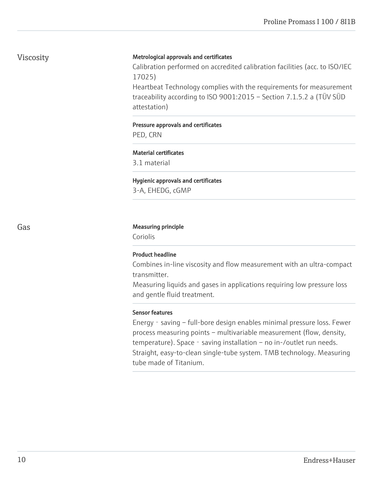# Viscosity

#### Metrological approvals and certificates

Calibration performed on accredited calibration facilities (acc. to ISO/IEC 17025)

Heartbeat Technology complies with the requirements for measurement traceability according to ISO 9001:2015 – Section 7.1.5.2 a (TÜV SÜD attestation)

### Pressure approvals and certificates PED, CRN

# Material certificates

3.1 material

#### Hygienic approvals and certificates

3-A, EHEDG, cGMP

#### Gas **Gas** Measuring principle

Coriolis

### Product headline

Combines in-line viscosity and flow measurement with an ultra-compact transmitter.

Measuring liquids and gases in applications requiring low pressure loss and gentle fluid treatment.

#### Sensor features

Energy - saving – full-bore design enables minimal pressure loss. Fewer process measuring points – multivariable measurement (flow, density, temperature). Space - saving installation – no in-/outlet run needs. Straight, easy-to-clean single-tube system. TMB technology. Measuring tube made of Titanium.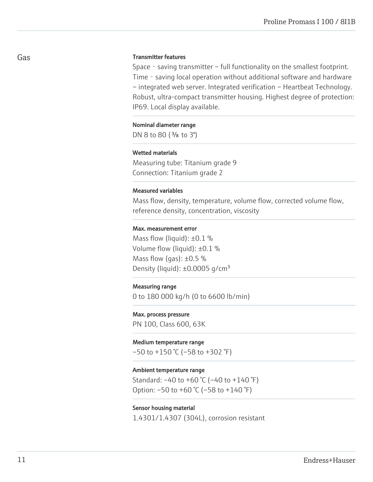#### Gas

#### Transmitter features

Space - saving transmitter – full functionality on the smallest footprint. Time - saving local operation without additional software and hardware – integrated web server. Integrated verification – Heartbeat Technology. Robust, ultra-compact transmitter housing. Highest degree of protection: IP69. Local display available.

#### Nominal diameter range

DN 8 to 80 (<sup>3</sup>/<sub>8</sub> to 3")

#### Wetted materials

Measuring tube: Titanium grade 9 Connection: Titanium grade 2

#### Measured variables

Mass flow, density, temperature, volume flow, corrected volume flow, reference density, concentration, viscosity

#### Max. measurement error

Mass flow (liquid):  $\pm 0.1$  % Volume flow (liquid): ±0.1 % Mass flow (gas):  $\pm 0.5$  % Density (liquid):  $\pm 0.0005$  g/cm<sup>3</sup>

#### Measuring range

0 to 180 000 kg/h (0 to 6600 lb/min)

# Max. process pressure

PN 100, Class 600, 63K

#### Medium temperature range

 $-50$  to  $+150$  °C ( $-58$  to  $+302$  °F)

#### Ambient temperature range

Standard: –40 to +60 °C (–40 to +140 °F) Option:  $-50$  to  $+60$  °C ( $-58$  to  $+140$  °F)

#### Sensor housing material

1.4301/1.4307 (304L), corrosion resistant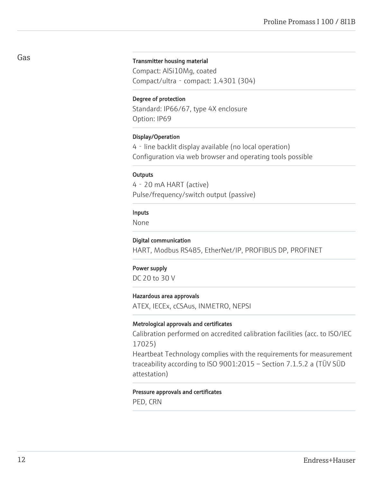#### Transmitter housing material

Compact: AlSi10Mg, coated Compact/ultra‐compact: 1.4301 (304)

#### Degree of protection

Standard: IP66/67, type 4X enclosure Option: IP69

#### Display/Operation

4‐line backlit display available (no local operation) Configuration via web browser and operating tools possible

#### **Outputs**

4‐20 mA HART (active) Pulse/frequency/switch output (passive)

#### Inputs

None

#### Digital communication

HART, Modbus RS485, EtherNet/IP, PROFIBUS DP, PROFINET

#### Power supply

DC 20 to 30 V

#### Hazardous area approvals

ATEX, IECEx, cCSAus, INMETRO, NEPSI

#### Metrological approvals and certificates

Calibration performed on accredited calibration facilities (acc. to ISO/IEC 17025)

Heartbeat Technology complies with the requirements for measurement traceability according to ISO 9001:2015 – Section 7.1.5.2 a (TÜV SÜD attestation)

#### Pressure approvals and certificates

PED, CRN